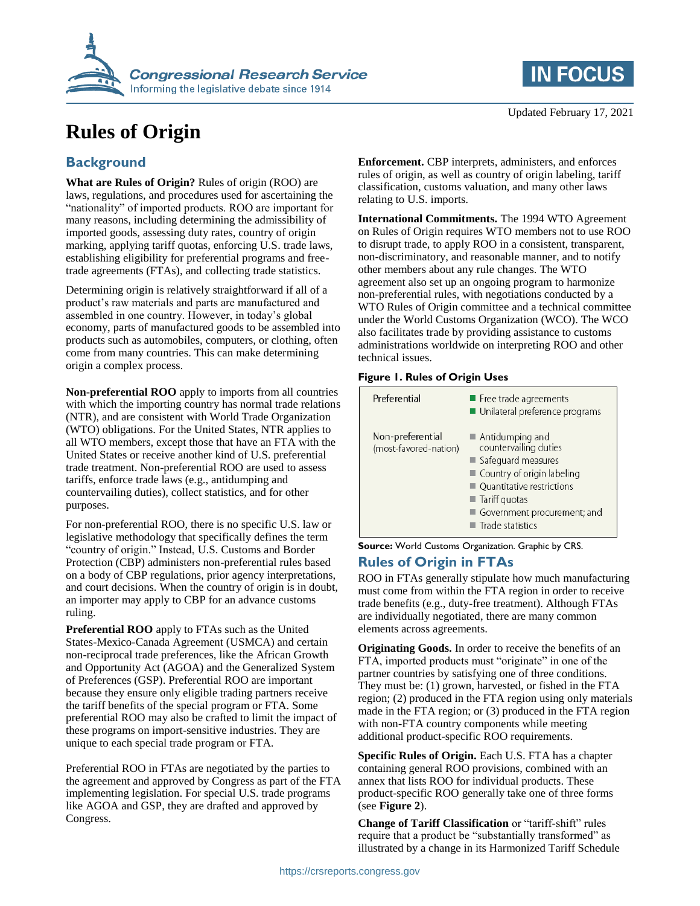

# **Rules of Origin**

## **Background**

**What are Rules of Origin?** Rules of origin (ROO) are laws, regulations, and procedures used for ascertaining the "nationality" of imported products. ROO are important for many reasons, including determining the admissibility of imported goods, assessing duty rates, country of origin marking, applying tariff quotas, enforcing U.S. trade laws, establishing eligibility for preferential programs and freetrade agreements (FTAs), and collecting trade statistics.

Determining origin is relatively straightforward if all of a product's raw materials and parts are manufactured and assembled in one country. However, in today's global economy, parts of manufactured goods to be assembled into products such as automobiles, computers, or clothing, often come from many countries. This can make determining origin a complex process.

**Non-preferential ROO** apply to imports from all countries with which the importing country has normal trade relations (NTR), and are consistent with World Trade Organization (WTO) obligations. For the United States, NTR applies to all WTO members, except those that have an FTA with the United States or receive another kind of U.S. preferential trade treatment. Non-preferential ROO are used to assess tariffs, enforce trade laws (e.g., antidumping and countervailing duties), collect statistics, and for other purposes.

For non-preferential ROO, there is no specific U.S. law or legislative methodology that specifically defines the term "country of origin." Instead, U.S. Customs and Border Protection (CBP) administers non-preferential rules based on a body of CBP regulations, prior agency interpretations, and court decisions. When the country of origin is in doubt, an importer may apply to CBP for an advance customs ruling.

**Preferential ROO** apply to FTAs such as the United States-Mexico-Canada Agreement (USMCA) and certain non-reciprocal trade preferences, like the African Growth and Opportunity Act (AGOA) and the Generalized System of Preferences (GSP). Preferential ROO are important because they ensure only eligible trading partners receive the tariff benefits of the special program or FTA. Some preferential ROO may also be crafted to limit the impact of these programs on import-sensitive industries. They are unique to each special trade program or FTA.

Preferential ROO in FTAs are negotiated by the parties to the agreement and approved by Congress as part of the FTA implementing legislation. For special U.S. trade programs like AGOA and GSP, they are drafted and approved by Congress.

**IN FOCUS** 

Updated February 17, 2021

**Enforcement.** CBP interprets, administers, and enforces rules of origin, as well as country of origin labeling, tariff classification, customs valuation, and many other laws relating to U.S. imports.

**International Commitments.** The 1994 WTO Agreement on Rules of Origin requires WTO members not to use ROO to disrupt trade, to apply ROO in a consistent, transparent, non-discriminatory, and reasonable manner, and to notify other members about any rule changes. The WTO agreement also set up an ongoing program to harmonize non-preferential rules, with negotiations conducted by a WTO Rules of Origin committee and a technical committee under the World Customs Organization (WCO). The WCO also facilitates trade by providing assistance to customs administrations worldwide on interpreting ROO and other technical issues.

#### **Figure 1. Rules of Origin Uses**

| Preferential                              | Free trade agreements<br>Unilateral preference programs                                                                                                                                                                       |
|-------------------------------------------|-------------------------------------------------------------------------------------------------------------------------------------------------------------------------------------------------------------------------------|
| Non-preferential<br>(most-favored-nation) | $\blacksquare$ Antidumping and<br>countervailing duties<br>Safeguard measures<br>Country of origin labeling<br>■ Quantitative restrictions<br>$\blacksquare$ Tariff quotas<br>Government procurement; and<br>Trade statistics |

**Source:** World Customs Organization. Graphic by CRS.

## **Rules of Origin in FTAs**

ROO in FTAs generally stipulate how much manufacturing must come from within the FTA region in order to receive trade benefits (e.g., duty-free treatment). Although FTAs are individually negotiated, there are many common elements across agreements.

**Originating Goods.** In order to receive the benefits of an FTA, imported products must "originate" in one of the partner countries by satisfying one of three conditions. They must be: (1) grown, harvested, or fished in the FTA region; (2) produced in the FTA region using only materials made in the FTA region; or (3) produced in the FTA region with non-FTA country components while meeting additional product-specific ROO requirements.

**Specific Rules of Origin.** Each U.S. FTA has a chapter containing general ROO provisions, combined with an annex that lists ROO for individual products. These product-specific ROO generally take one of three forms (see **[Figure 2](#page-1-0)**).

**Change of Tariff Classification** or "tariff-shift" rules require that a product be "substantially transformed" as illustrated by a change in its Harmonized Tariff Schedule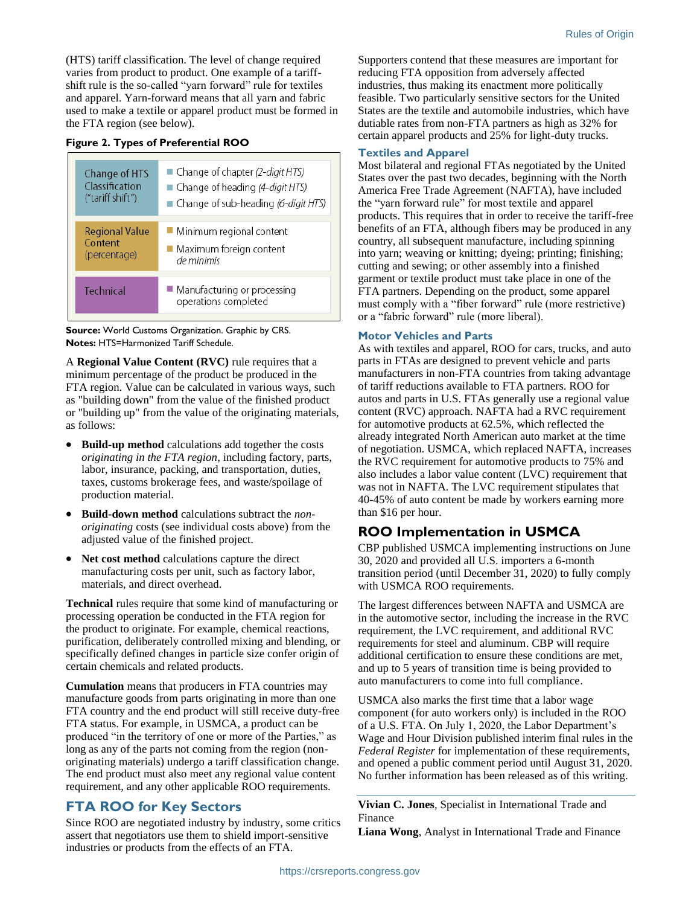(HTS) tariff classification. The level of change required varies from product to product. One example of a tariffshift rule is the so-called "yarn forward" rule for textiles and apparel. Yarn-forward means that all yarn and fabric used to make a textile or apparel product must be formed in the FTA region (see below).

#### <span id="page-1-0"></span>**Figure 2. Types of Preferential ROO**

| Change of HTS         | ■ Change of chapter (2-digit HTS)                     |
|-----------------------|-------------------------------------------------------|
| Classification        | $\blacksquare$ Change of heading (4-digit HTS)        |
| ("tariff shift")      | $\blacksquare$ Change of sub-heading (6-digit HTS)    |
| <b>Regional Value</b> | Minimum regional content                              |
| Content               | $\blacksquare$ Maximum foreign content                |
| (percentage)          | de minimis                                            |
| Technical             | ■ Manufacturing or processing<br>operations completed |

**Source:** World Customs Organization. Graphic by CRS. **Notes:** HTS=Harmonized Tariff Schedule.

A **Regional Value Content (RVC)** rule requires that a minimum percentage of the product be produced in the FTA region. Value can be calculated in various ways, such as "building down" from the value of the finished product or "building up" from the value of the originating materials, as follows:

- **Build-up method** calculations add together the costs *originating in the FTA region*, including factory, parts, labor, insurance, packing, and transportation, duties, taxes, customs brokerage fees, and waste/spoilage of production material.
- **Build-down method** calculations subtract the *nonoriginating* costs (see individual costs above) from the adjusted value of the finished project.
- **Net cost method** calculations capture the direct manufacturing costs per unit, such as factory labor, materials, and direct overhead.

**Technical** rules require that some kind of manufacturing or processing operation be conducted in the FTA region for the product to originate. For example, chemical reactions, purification, deliberately controlled mixing and blending, or specifically defined changes in particle size confer origin of certain chemicals and related products.

**Cumulation** means that producers in FTA countries may manufacture goods from parts originating in more than one FTA country and the end product will still receive duty-free FTA status. For example, in USMCA, a product can be produced "in the territory of one or more of the Parties," as long as any of the parts not coming from the region (nonoriginating materials) undergo a tariff classification change. The end product must also meet any regional value content requirement, and any other applicable ROO requirements.

## **FTA ROO for Key Sectors**

Since ROO are negotiated industry by industry, some critics assert that negotiators use them to shield import-sensitive industries or products from the effects of an FTA.

Supporters contend that these measures are important for reducing FTA opposition from adversely affected industries, thus making its enactment more politically feasible. Two particularly sensitive sectors for the United States are the textile and automobile industries, which have dutiable rates from non-FTA partners as high as 32% for certain apparel products and 25% for light-duty trucks.

#### **Textiles and Apparel**

Most bilateral and regional FTAs negotiated by the United States over the past two decades, beginning with the North America Free Trade Agreement (NAFTA), have included the "yarn forward rule" for most textile and apparel products. This requires that in order to receive the tariff-free benefits of an FTA, although fibers may be produced in any country, all subsequent manufacture, including spinning into yarn; weaving or knitting; dyeing; printing; finishing; cutting and sewing; or other assembly into a finished garment or textile product must take place in one of the FTA partners. Depending on the product, some apparel must comply with a "fiber forward" rule (more restrictive) or a "fabric forward" rule (more liberal).

#### **Motor Vehicles and Parts**

As with textiles and apparel, ROO for cars, trucks, and auto parts in FTAs are designed to prevent vehicle and parts manufacturers in non-FTA countries from taking advantage of tariff reductions available to FTA partners. ROO for autos and parts in U.S. FTAs generally use a regional value content (RVC) approach. NAFTA had a RVC requirement for automotive products at 62.5%, which reflected the already integrated North American auto market at the time of negotiation. USMCA, which replaced NAFTA, increases the RVC requirement for automotive products to 75% and also includes a labor value content (LVC) requirement that was not in NAFTA. The LVC requirement stipulates that 40-45% of auto content be made by workers earning more than \$16 per hour.

### **ROO Implementation in USMCA**

CBP published USMCA implementing instructions on June 30, 2020 and provided all U.S. importers a 6-month transition period (until December 31, 2020) to fully comply with USMCA ROO requirements.

The largest differences between NAFTA and USMCA are in the automotive sector, including the increase in the RVC requirement, the LVC requirement, and additional RVC requirements for steel and aluminum. CBP will require additional certification to ensure these conditions are met, and up to 5 years of transition time is being provided to auto manufacturers to come into full compliance.

USMCA also marks the first time that a labor wage component (for auto workers only) is included in the ROO of a U.S. FTA. On July 1, 2020, the Labor Department's Wage and Hour Division published interim final rules in the *Federal Register* for implementation of these requirements, and opened a public comment period until August 31, 2020. No further information has been released as of this writing.

**Vivian C. Jones**, Specialist in International Trade and Finance

**Liana Wong**, Analyst in International Trade and Finance